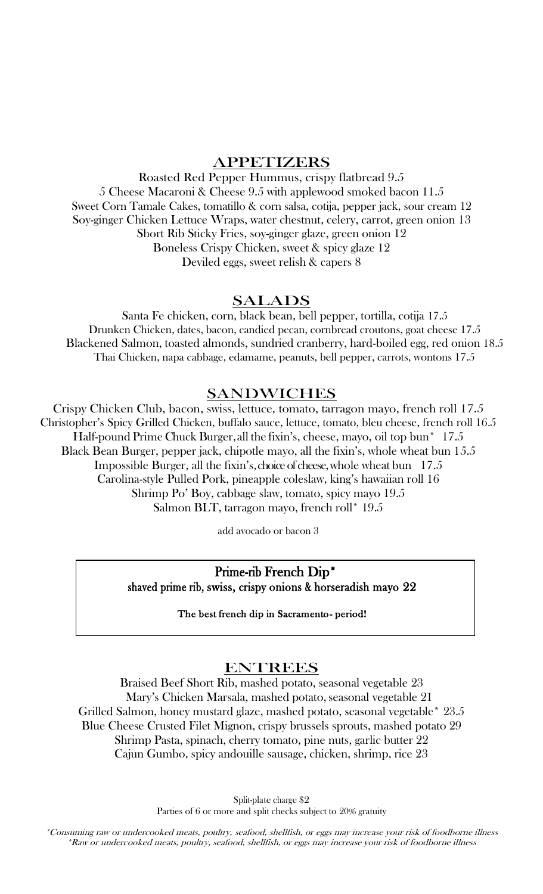# APPETIZERS

Roasted Red Pepper Hummus, crispy flatbread 9.5 5 Cheese Macaroni & Cheese 9.5 with applewood smoked bacon 11.5 Sweet Corn Tamale Cakes, tomatillo & corn salsa, cotija, pepper jack, sour cream 12 Soy-ginger Chicken Lettuce Wraps, water chestnut, celery, carrot, green onion 13 Short Rib Sticky Fries, soy-ginger glaze, green onion 12 Boneless Crispy Chicken, sweet & spicy glaze 12 Deviled eggs, sweet relish & capers 8

# SALADS

Santa Fe chicken, corn, black bean, bell pepper, tortilla, cotija 17.5 Drunken Chicken, dates, bacon, candied pecan, cornbread croutons, goat cheese 17.5 Blackened Salmon, toasted almonds, sundried cranberry, hard-boiled egg, red onion 18.5 Thai Chicken, napa cabbage, edamame, peanuts, bell pepper, carrots, wontons 17.5

# SANDWICHES

Crispy Chicken Club, bacon, swiss, lettuce, tomato, tarragon mayo, french roll 17.5 Christopher's Spicy Grilled Chicken, buffalo sauce, lettuce, tomato, bleu cheese, french roll 16.5 Half-pound Prime Chuck Burger, all the fixin's, cheese, mayo, oil top bun\* 17.5 Black Bean Burger, pepper jack, chipotle mayo, all the fixin's, whole wheat bun 15.5 Impossible Burger, all the fixin's, choice of cheese, whole wheat bun 17.5 Carolina-style Pulled Pork, pineapple coleslaw, king's hawaiian roll 16 Shrimp Po' Boy, cabbage slaw, tomato, spicy mayo 19.5 Salmon BLT, tarragon mayo, french roll\* 19.5

add avocado or bacon 3

 $\overline{a}$ 

Prime-rib French Dip\*

shaved prime rib, swiss, crispy onions & horseradish mayo 22

The best french dip in Sacramento- period!

# ENTREES

Braised Beef Short Rib, mashed potato, seasonal vegetable 23 Mary's Chicken Marsala, mashed potato, seasonal vegetable 21 Grilled Salmon, honey mustard glaze, mashed potato, seasonal vegetable\* 23.5 Blue Cheese Crusted Filet Mignon, crispy brussels sprouts, mashed potato 29 Shrimp Pasta, spinach, cherry tomato, pine nuts, garlic butter 22 Cajun Gumbo, spicy andouille sausage, chicken, shrimp, rice 23

> Split-plate charge \$2 Parties of 6 or more and split checks subject to 20% gratuity

\*Consuming raw or undercooked meats, poultry, seafood, shellfish, or eggs may increase your risk of foodborne illness \*Raw or undercooked meats, poultry, seafood, shellfish, or eggs may increase your risk of foodborne illness